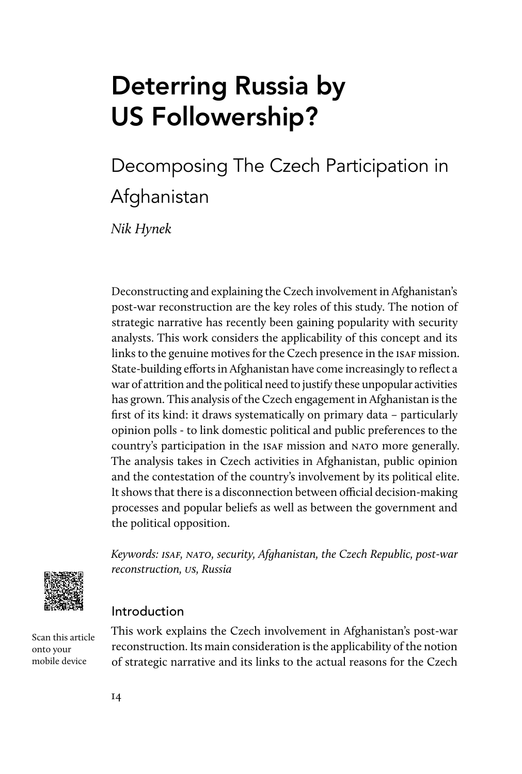# Deterring Russia by US Followership?

# Decomposing The Czech Participation in **Afghanistan**

Nik Hynek

Deconstructing and explaining the Czech involvement in Afghanistan's post-war reconstruction are the key roles of this study. The notion of strategic narrative has recently been gaining popularity with security analysts. This work considers the applicability of this concept and its links to the genuine motives for the Czech presence in the ISAF mission. State-building efforts in Afghanistan have come increasingly to reflect a war of attrition and the political need to justify these unpopular activities has grown. This analysis of the Czech engagement in Afghanistan is the first of its kind: it draws systematically on primary data – particularly opinion polls - to link domestic political and public preferences to the country's participation in the ISAF mission and NATO more generally. The analysis takes in Czech activities in Afghanistan, public opinion and the contestation of the country's involvement by its political elite. It shows that there is a disconnection between official decision-making processes and popular beliefs as well as between the government and the political opposition.



Keywords: ISAF, NATO, security, Afghanistan, the Czech Republic, post-war reconstruction, us, Russia

## Introduction

Scan this article onto your mobile device

This work explains the Czech involvement in Afghanistan's post-war reconstruction. Its main consideration is the applicability of the notion of strategic narrative and its links to the actual reasons for the Czech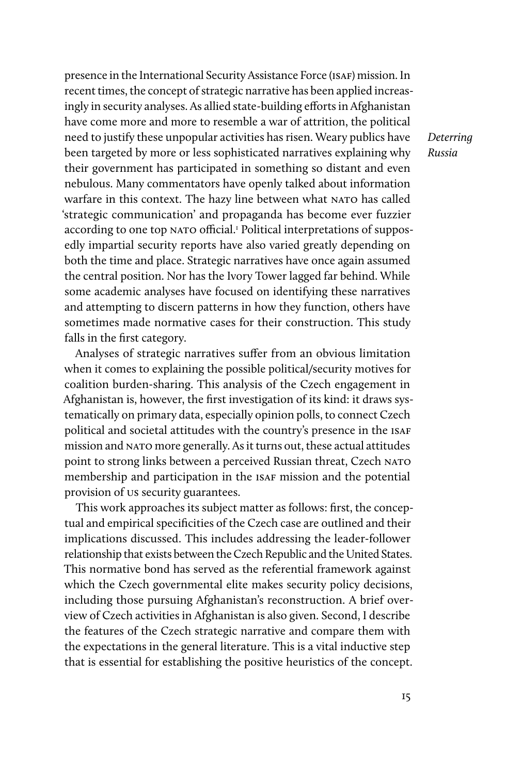presence in the International Security Assistance Force (isaf) mission. In recent times, the concept of strategic narrative has been applied increasingly in security analyses. As allied state-building efforts in Afghanistan have come more and more to resemble a war of attrition, the political need to justify these unpopular activities has risen. Weary publics have been targeted by more or less sophisticated narratives explaining why their government has participated in something so distant and even nebulous. Many commentators have openly talked about information warfare in this context. The hazy line between what NATO has called 'strategic communication' and propaganda has become ever fuzzier according to one top NATO official.<sup>1</sup> Political interpretations of supposedly impartial security reports have also varied greatly depending on both the time and place. Strategic narratives have once again assumed the central position. Nor has the Ivory Tower lagged far behind. While some academic analyses have focused on identifying these narratives and attempting to discern patterns in how they function, others have sometimes made normative cases for their construction. This study falls in the first category.

Analyses of strategic narratives suffer from an obvious limitation when it comes to explaining the possible political/security motives for coalition burden-sharing. This analysis of the Czech engagement in Afghanistan is, however, the first investigation of its kind: it draws systematically on primary data, especially opinion polls, to connect Czech political and societal attitudes with the country's presence in the ISAF mission and nato more generally. As it turns out, these actual attitudes point to strong links between a perceived Russian threat, Czech NATO membership and participation in the ISAF mission and the potential provision of us security guarantees.

This work approaches its subject matter as follows: first, the conceptual and empirical specificities of the Czech case are outlined and their implications discussed. This includes addressing the leader-follower relationship that exists between the Czech Republic and the United States. This normative bond has served as the referential framework against which the Czech governmental elite makes security policy decisions, including those pursuing Afghanistan's reconstruction. A brief overview of Czech activities in Afghanistan is also given. Second, I describe the features of the Czech strategic narrative and compare them with the expectations in the general literature. This is a vital inductive step that is essential for establishing the positive heuristics of the concept.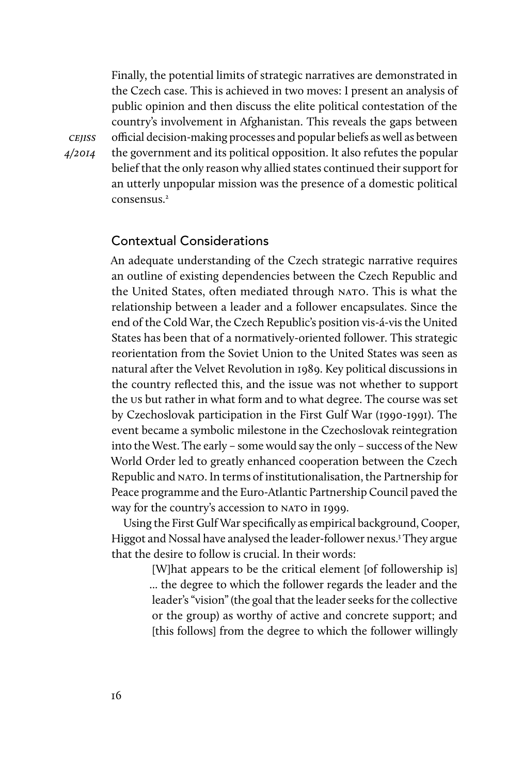Finally, the potential limits of strategic narratives are demonstrated in the Czech case. This is achieved in two moves: I present an analysis of public opinion and then discuss the elite political contestation of the country's involvement in Afghanistan. This reveals the gaps between official decision-making processes and popular beliefs as well as between the government and its political opposition. It also refutes the popular belief that the only reason why allied states continued their support for an utterly unpopular mission was the presence of a domestic political consensus<sup>2</sup>

#### Contextual Considerations

An adequate understanding of the Czech strategic narrative requires an outline of existing dependencies between the Czech Republic and the United States, often mediated through NATO. This is what the relationship between a leader and a follower encapsulates. Since the end of the Cold War, the Czech Republic's position vis-á-vis the United States has been that of a normatively-oriented follower. This strategic reorientation from the Soviet Union to the United States was seen as natural after the Velvet Revolution in 1989. Key political discussions in the country reflected this, and the issue was not whether to support the us but rather in what form and to what degree. The course was set by Czechoslovak participation in the First Gulf War (1990-1991). The event became a symbolic milestone in the Czechoslovak reintegration into the West. The early – some would say the only – success of the New World Order led to greatly enhanced cooperation between the Czech Republic and NATO. In terms of institutionalisation, the Partnership for Peace programme and the Euro-Atlantic Partnership Council paved the way for the country's accession to NATO in 1999.

Using the First Gulf War specifically as empirical background, Cooper, Higgot and Nossal have analysed the leader-follower nexus.<sup>3</sup> They argue that the desire to follow is crucial. In their words:

> [W]hat appears to be the critical element [of followership is] ... the degree to which the follower regards the leader and the leader's "vision" (the goal that the leader seeks for the collective or the group) as worthy of active and concrete support; and [this follows] from the degree to which the follower willingly

**CEJISS** 4/2014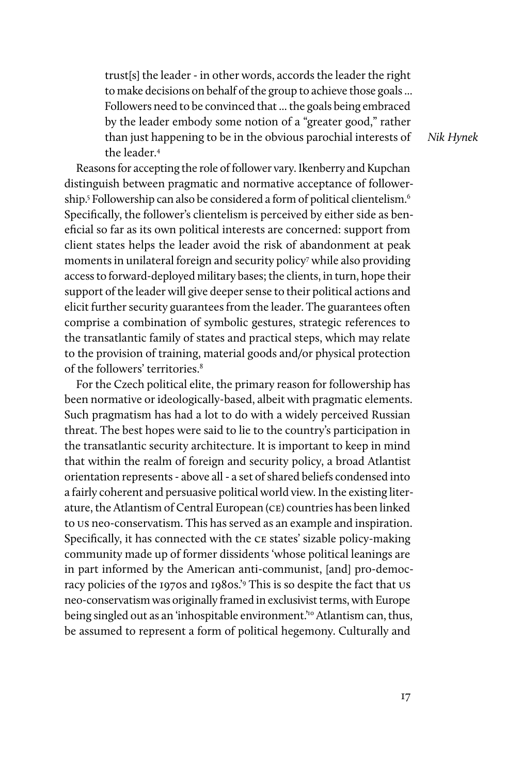trust[s] the leader - in other words, accords the leader the right to make decisions on behalf of the group to achieve those goals ... Followers need to be convinced that ... the goals being embraced by the leader embody some notion of a "greater good," rather than just happening to be in the obvious parochial interests of the leader<sup>4</sup>

Reasons for accepting the role of follower vary. Ikenberry and Kupchan distinguish between pragmatic and normative acceptance of followership.<sup>5</sup> Followership can also be considered a form of political clientelism.<sup>6</sup> Specifically, the follower's clientelism is perceived by either side as beneficial so far as its own political interests are concerned: support from client states helps the leader avoid the risk of abandonment at peak moments in unilateral foreign and security policy7 while also providing access to forward-deployed military bases; the clients, in turn, hope their support of the leader will give deeper sense to their political actions and elicit further security guarantees from the leader. The guarantees often comprise a combination of symbolic gestures, strategic references to the transatlantic family of states and practical steps, which may relate to the provision of training, material goods and/or physical protection of the followers' territories.8

For the Czech political elite, the primary reason for followership has been normative or ideologically-based, albeit with pragmatic elements. Such pragmatism has had a lot to do with a widely perceived Russian threat. The best hopes were said to lie to the country's participation in the transatlantic security architecture. It is important to keep in mind that within the realm of foreign and security policy, a broad Atlantist orientation represents - above all - a set of shared beliefs condensed into a fairly coherent and persuasive political world view. In the existing literature, the Atlantism of Central European (ce) countries has been linked to us neo-conservatism. This has served as an example and inspiration. Specifically, it has connected with the ce states' sizable policy-making community made up of former dissidents 'whose political leanings are in part informed by the American anti-communist, [and] pro-democracy policies of the 1970s and 1980s.'9 This is so despite the fact that us neo-conservatism was originally framed in exclusivist terms, with Europe being singled out as an 'inhospitable environment.'<sup>10</sup> Atlantism can, thus, be assumed to represent a form of political hegemony. Culturally and

Nik Hynek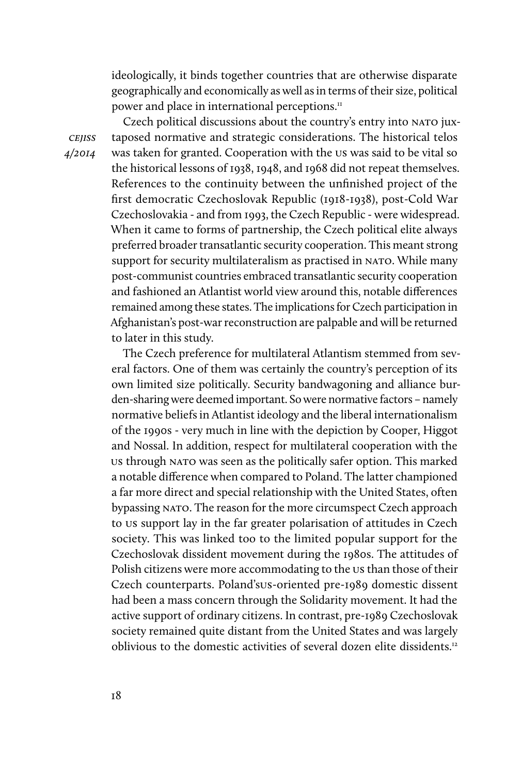ideologically, it binds together countries that are otherwise disparate geographically and economically as well as in terms of their size, political power and place in international perceptions.<sup>11</sup>

Czech political discussions about the country's entry into NATO juxtaposed normative and strategic considerations. The historical telos was taken for granted. Cooperation with the us was said to be vital so the historical lessons of 1938, 1948, and 1968 did not repeat themselves. References to the continuity between the unfinished project of the first democratic Czechoslovak Republic (1918-1938), post-Cold War Czechoslovakia - and from 1993, the Czech Republic - were widespread. When it came to forms of partnership, the Czech political elite always preferred broader transatlantic security cooperation. This meant strong support for security multilateralism as practised in NATO. While many post-communist countries embraced transatlantic security cooperation and fashioned an Atlantist world view around this, notable differences remained among these states. The implications for Czech participation in Afghanistan's post-war reconstruction are palpable and will be returned to later in this study.

The Czech preference for multilateral Atlantism stemmed from several factors. One of them was certainly the country's perception of its own limited size politically. Security bandwagoning and alliance burden-sharing were deemed important. So were normative factors – namely normative beliefs in Atlantist ideology and the liberal internationalism of the 1990s - very much in line with the depiction by Cooper, Higgot and Nossal. In addition, respect for multilateral cooperation with the us through nato was seen as the politically safer option. This marked a notable difference when compared to Poland. The latter championed a far more direct and special relationship with the United States, often bypassing nato. The reason for the more circumspect Czech approach to us support lay in the far greater polarisation of attitudes in Czech society. This was linked too to the limited popular support for the Czechoslovak dissident movement during the 1980s. The attitudes of Polish citizens were more accommodating to the us than those of their Czech counterparts. Poland'sus-oriented pre-1989 domestic dissent had been a mass concern through the Solidarity movement. It had the active support of ordinary citizens. In contrast, pre-1989 Czechoslovak society remained quite distant from the United States and was largely oblivious to the domestic activities of several dozen elite dissidents.12

cejiss 4/2014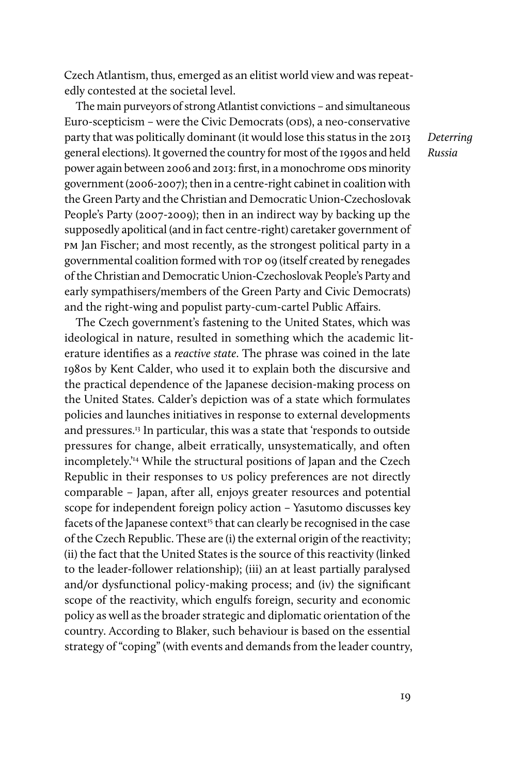Czech Atlantism, thus, emerged as an elitist world view and was repeatedly contested at the societal level.

The main purveyors of strong Atlantist convictions – and simultaneous Euro-scepticism – were the Civic Democrats (ODS), a neo-conservative party that was politically dominant (it would lose this status in the 2013 general elections). It governed the country for most of the 1990s and held power again between 2006 and 2013: first, in a monochrome ODS minority government (2006-2007); then in a centre-right cabinet in coalition with the Green Party and the Christian and Democratic Union-Czechoslovak People's Party (2007-2009); then in an indirect way by backing up the supposedly apolitical (and in fact centre-right) caretaker government of pm Jan Fischer; and most recently, as the strongest political party in a governmental coalition formed with top 09 (itself created by renegades of the Christian and Democratic Union-Czechoslovak People's Party and early sympathisers/members of the Green Party and Civic Democrats) and the right-wing and populist party-cum-cartel Public Affairs.

The Czech government's fastening to the United States, which was ideological in nature, resulted in something which the academic literature identifies as a reactive state. The phrase was coined in the late 1980s by Kent Calder, who used it to explain both the discursive and the practical dependence of the Japanese decision-making process on the United States. Calder's depiction was of a state which formulates policies and launches initiatives in response to external developments and pressures.13 In particular, this was a state that 'responds to outside pressures for change, albeit erratically, unsystematically, and often incompletely.'14 While the structural positions of Japan and the Czech Republic in their responses to us policy preferences are not directly comparable – Japan, after all, enjoys greater resources and potential scope for independent foreign policy action – Yasutomo discusses key facets of the Japanese context<sup>15</sup> that can clearly be recognised in the case of the Czech Republic. These are (i) the external origin of the reactivity; (ii) the fact that the United States is the source of this reactivity (linked to the leader-follower relationship); (iii) an at least partially paralysed and/or dysfunctional policy-making process; and (iv) the significant scope of the reactivity, which engulfs foreign, security and economic policy as well as the broader strategic and diplomatic orientation of the country. According to Blaker, such behaviour is based on the essential strategy of "coping" (with events and demands from the leader country,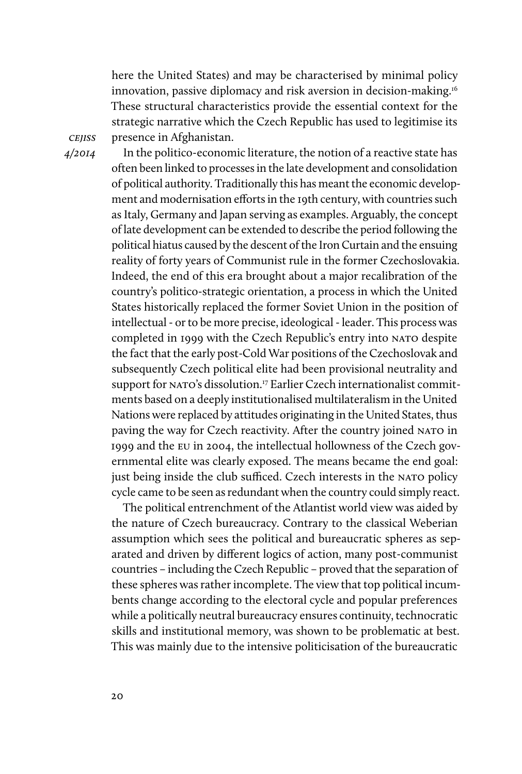here the United States) and may be characterised by minimal policy innovation, passive diplomacy and risk aversion in decision-making.16 These structural characteristics provide the essential context for the strategic narrative which the Czech Republic has used to legitimise its presence in Afghanistan.

**CEJISS** 4/2014

In the politico-economic literature, the notion of a reactive state has often been linked to processes in the late development and consolidation of political authority. Traditionally this has meant the economic development and modernisation efforts in the 19th century, with countries such as Italy, Germany and Japan serving as examples. Arguably, the concept of late development can be extended to describe the period following the political hiatus caused by the descent of the Iron Curtain and the ensuing reality of forty years of Communist rule in the former Czechoslovakia. Indeed, the end of this era brought about a major recalibration of the country's politico-strategic orientation, a process in which the United States historically replaced the former Soviet Union in the position of intellectual - or to be more precise, ideological - leader. This process was completed in 1999 with the Czech Republic's entry into NATO despite the fact that the early post-Cold War positions of the Czechoslovak and subsequently Czech political elite had been provisional neutrality and support for NATO's dissolution.<sup>17</sup> Earlier Czech internationalist commitments based on a deeply institutionalised multilateralism in the United Nations were replaced by attitudes originating in the United States, thus paving the way for Czech reactivity. After the country joined NATO in 1999 and the eu in 2004, the intellectual hollowness of the Czech governmental elite was clearly exposed. The means became the end goal: just being inside the club sufficed. Czech interests in the NATO policy cycle came to be seen as redundant when the country could simply react.

The political entrenchment of the Atlantist world view was aided by the nature of Czech bureaucracy. Contrary to the classical Weberian assumption which sees the political and bureaucratic spheres as separated and driven by different logics of action, many post-communist countries – including the Czech Republic – proved that the separation of these spheres was rather incomplete. The view that top political incumbents change according to the electoral cycle and popular preferences while a politically neutral bureaucracy ensures continuity, technocratic skills and institutional memory, was shown to be problematic at best. This was mainly due to the intensive politicisation of the bureaucratic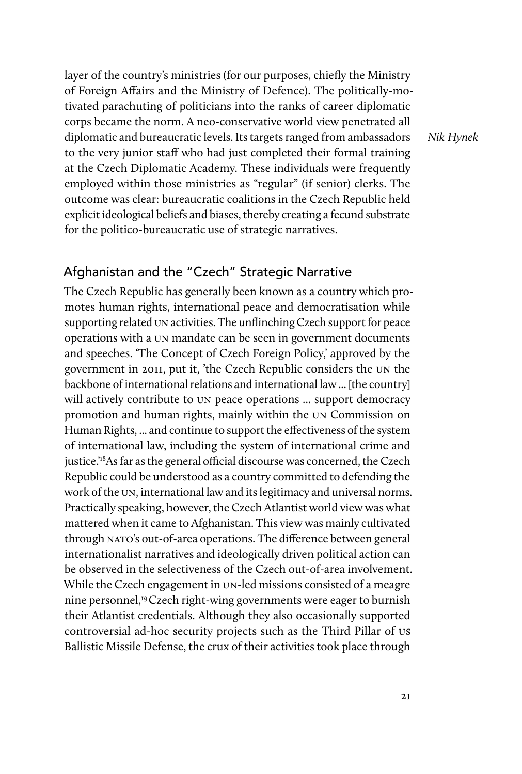layer of the country's ministries (for our purposes, chiefly the Ministry of Foreign Affairs and the Ministry of Defence). The politically-motivated parachuting of politicians into the ranks of career diplomatic corps became the norm. A neo-conservative world view penetrated all diplomatic and bureaucratic levels. Its targets ranged from ambassadors to the very junior staff who had just completed their formal training at the Czech Diplomatic Academy. These individuals were frequently employed within those ministries as "regular" (if senior) clerks. The outcome was clear: bureaucratic coalitions in the Czech Republic held explicit ideological beliefs and biases, thereby creating a fecund substrate for the politico-bureaucratic use of strategic narratives.

Nik Hynek

### Afghanistan and the "Czech" Strategic Narrative

The Czech Republic has generally been known as a country which promotes human rights, international peace and democratisation while supporting related un activities. The unflinching Czech support for peace operations with a un mandate can be seen in government documents and speeches. 'The Concept of Czech Foreign Policy,' approved by the government in 2011, put it, 'the Czech Republic considers the un the backbone of international relations and international law ... [the country] will actively contribute to un peace operations ... support democracy promotion and human rights, mainly within the un Commission on Human Rights, ... and continue to support the effectiveness of the system of international law, including the system of international crime and justice.'<sup>18</sup>As far as the general official discourse was concerned, the Czech Republic could be understood as a country committed to defending the work of the un, international law and its legitimacy and universal norms. Practically speaking, however, the Czech Atlantist world view was what mattered when it came to Afghanistan. This view was mainly cultivated through NATO's out-of-area operations. The difference between general internationalist narratives and ideologically driven political action can be observed in the selectiveness of the Czech out-of-area involvement. While the Czech engagement in un-led missions consisted of a meagre nine personnel,<sup>19</sup> Czech right-wing governments were eager to burnish their Atlantist credentials. Although they also occasionally supported controversial ad-hoc security projects such as the Third Pillar of us Ballistic Missile Defense, the crux of their activities took place through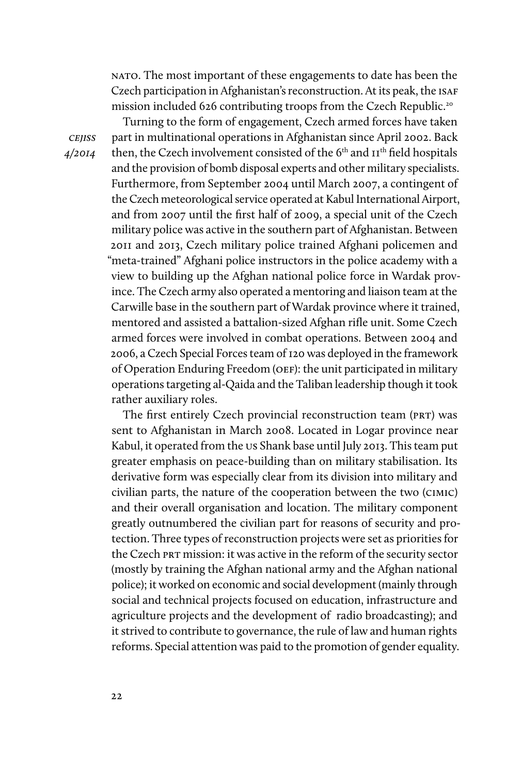nato. The most important of these engagements to date has been the Czech participation in Afghanistan's reconstruction. At its peak, the isaf mission included 626 contributing troops from the Czech Republic.<sup>20</sup>

**CEJISS** 4/2014

Turning to the form of engagement, Czech armed forces have taken part in multinational operations in Afghanistan since April 2002. Back then, the Czech involvement consisted of the 6<sup>th</sup> and II<sup>th</sup> field hospitals and the provision of bomb disposal experts and other military specialists. Furthermore, from September 2004 until March 2007, a contingent of the Czech meteorological service operated at Kabul International Airport, and from 2007 until the first half of 2009, a special unit of the Czech military police was active in the southern part of Afghanistan. Between 2011 and 2013, Czech military police trained Afghani policemen and "meta-trained" Afghani police instructors in the police academy with a view to building up the Afghan national police force in Wardak province. The Czech army also operated a mentoring and liaison team at the Carwille base in the southern part of Wardak province where it trained, mentored and assisted a battalion-sized Afghan rifle unit. Some Czech armed forces were involved in combat operations. Between 2004 and 2006, a Czech Special Forces team of 120 was deployed in the framework of Operation Enduring Freedom (OEF): the unit participated in military operations targeting al-Qaida and the Taliban leadership though it took rather auxiliary roles.

The first entirely Czech provincial reconstruction team (PRT) was sent to Afghanistan in March 2008. Located in Logar province near Kabul, it operated from the us Shank base until July 2013. This team put greater emphasis on peace-building than on military stabilisation. Its derivative form was especially clear from its division into military and civilian parts, the nature of the cooperation between the two (cimic) and their overall organisation and location. The military component greatly outnumbered the civilian part for reasons of security and protection. Three types of reconstruction projects were set as priorities for the Czech PRT mission: it was active in the reform of the security sector (mostly by training the Afghan national army and the Afghan national police); it worked on economic and social development (mainly through social and technical projects focused on education, infrastructure and agriculture projects and the development of radio broadcasting); and it strived to contribute to governance, the rule of law and human rights reforms. Special attention was paid to the promotion of gender equality.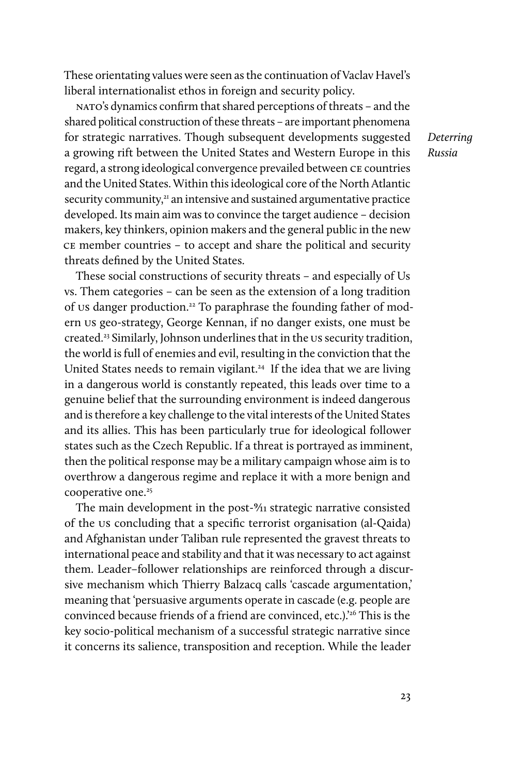These orientating values were seen as the continuation of Vaclav Havel's liberal internationalist ethos in foreign and security policy.

nato's dynamics confirm that shared perceptions of threats – and the shared political construction of these threats – are important phenomena for strategic narratives. Though subsequent developments suggested a growing rift between the United States and Western Europe in this regard, a strong ideological convergence prevailed between ce countries and the United States. Within this ideological core of the North Atlantic security community,<sup>21</sup> an intensive and sustained argumentative practice developed. Its main aim was to convince the target audience – decision makers, key thinkers, opinion makers and the general public in the new ce member countries – to accept and share the political and security threats defined by the United States.

These social constructions of security threats – and especially of Us vs. Them categories – can be seen as the extension of a long tradition of us danger production.22 To paraphrase the founding father of modern us geo-strategy, George Kennan, if no danger exists, one must be created.23 Similarly, Johnson underlines that in the us security tradition, the world is full of enemies and evil, resulting in the conviction that the United States needs to remain vigilant.<sup>24</sup> If the idea that we are living in a dangerous world is constantly repeated, this leads over time to a genuine belief that the surrounding environment is indeed dangerous and is therefore a key challenge to the vital interests of the United States and its allies. This has been particularly true for ideological follower states such as the Czech Republic. If a threat is portrayed as imminent, then the political response may be a military campaign whose aim is to overthrow a dangerous regime and replace it with a more benign and cooperative one.<sup>25</sup>

The main development in the post-%1 strategic narrative consisted of the us concluding that a specific terrorist organisation (al-Qaida) and Afghanistan under Taliban rule represented the gravest threats to international peace and stability and that it was necessary to act against them. Leader–follower relationships are reinforced through a discursive mechanism which Thierry Balzacq calls 'cascade argumentation,' meaning that 'persuasive arguments operate in cascade (e.g. people are convinced because friends of a friend are convinced, etc.).<sup>26</sup> This is the key socio-political mechanism of a successful strategic narrative since it concerns its salience, transposition and reception. While the leader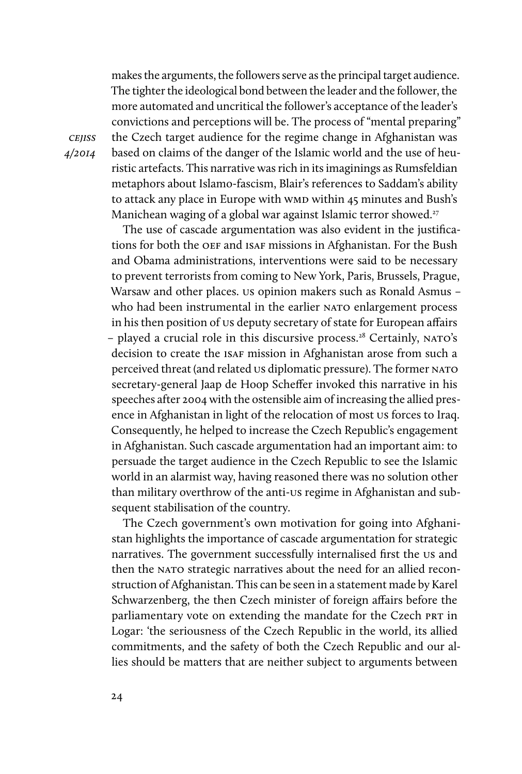makes the arguments, the followers serve as the principal target audience. The tighter the ideological bond between the leader and the follower, the more automated and uncritical the follower's acceptance of the leader's convictions and perceptions will be. The process of "mental preparing" the Czech target audience for the regime change in Afghanistan was based on claims of the danger of the Islamic world and the use of heuristic artefacts. This narrative was rich in its imaginings as Rumsfeldian metaphors about Islamo-fascism, Blair's references to Saddam's ability to attack any place in Europe with wmp within 45 minutes and Bush's Manichean waging of a global war against Islamic terror showed.<sup>27</sup>

The use of cascade argumentation was also evident in the justifications for both the OEF and ISAF missions in Afghanistan. For the Bush and Obama administrations, interventions were said to be necessary to prevent terrorists from coming to New York, Paris, Brussels, Prague, Warsaw and other places. us opinion makers such as Ronald Asmus – who had been instrumental in the earlier NATO enlargement process in his then position of us deputy secretary of state for European affairs – played a crucial role in this discursive process.<sup>28</sup> Certainly, NATO's decision to create the ISAF mission in Afghanistan arose from such a perceived threat (and related us diplomatic pressure). The former NATO secretary-general Jaap de Hoop Scheffer invoked this narrative in his speeches after 2004 with the ostensible aim of increasing the allied presence in Afghanistan in light of the relocation of most us forces to Iraq. Consequently, he helped to increase the Czech Republic's engagement in Afghanistan. Such cascade argumentation had an important aim: to persuade the target audience in the Czech Republic to see the Islamic world in an alarmist way, having reasoned there was no solution other than military overthrow of the anti-us regime in Afghanistan and subsequent stabilisation of the country.

The Czech government's own motivation for going into Afghanistan highlights the importance of cascade argumentation for strategic narratives. The government successfully internalised first the us and then the NATO strategic narratives about the need for an allied reconstruction of Afghanistan. This can be seen in a statement made by Karel Schwarzenberg, the then Czech minister of foreign affairs before the parliamentary vote on extending the mandate for the Czech PRT in Logar: 'the seriousness of the Czech Republic in the world, its allied commitments, and the safety of both the Czech Republic and our allies should be matters that are neither subject to arguments between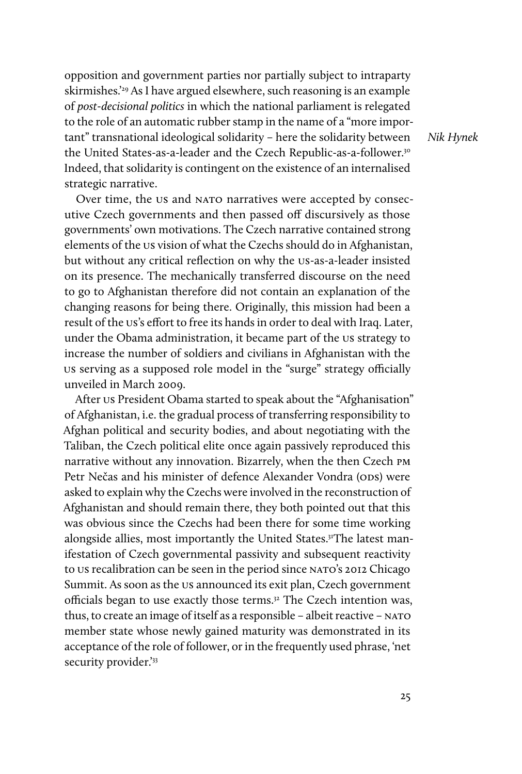opposition and government parties nor partially subject to intraparty skirmishes.'29 As I have argued elsewhere, such reasoning is an example of post-decisional politics in which the national parliament is relegated to the role of an automatic rubber stamp in the name of a "more important" transnational ideological solidarity – here the solidarity between the United States-as-a-leader and the Czech Republic-as-a-follower.30 Indeed, that solidarity is contingent on the existence of an internalised strategic narrative.

Nik Hynek

Over time, the us and NATO narratives were accepted by consecutive Czech governments and then passed off discursively as those governments' own motivations. The Czech narrative contained strong elements of the us vision of what the Czechs should do in Afghanistan, but without any critical reflection on why the us-as-a-leader insisted on its presence. The mechanically transferred discourse on the need to go to Afghanistan therefore did not contain an explanation of the changing reasons for being there. Originally, this mission had been a result of the us's effort to free its hands in order to deal with Iraq. Later, under the Obama administration, it became part of the us strategy to increase the number of soldiers and civilians in Afghanistan with the us serving as a supposed role model in the "surge" strategy officially unveiled in March 2009.

After us President Obama started to speak about the "Afghanisation" of Afghanistan, i.e. the gradual process of transferring responsibility to Afghan political and security bodies, and about negotiating with the Taliban, the Czech political elite once again passively reproduced this narrative without any innovation. Bizarrely, when the then Czech pm Petr Nečas and his minister of defence Alexander Vondra (ODS) were asked to explain why the Czechs were involved in the reconstruction of Afghanistan and should remain there, they both pointed out that this was obvious since the Czechs had been there for some time working alongside allies, most importantly the United States.<sup>31</sup>The latest manifestation of Czech governmental passivity and subsequent reactivity to us recalibration can be seen in the period since NATO's 2012 Chicago Summit. As soon as the us announced its exit plan, Czech government officials began to use exactly those terms.<sup>32</sup> The Czech intention was, thus, to create an image of itself as a responsible - albeit reactive - NATO member state whose newly gained maturity was demonstrated in its acceptance of the role of follower, or in the frequently used phrase, 'net security provider.'33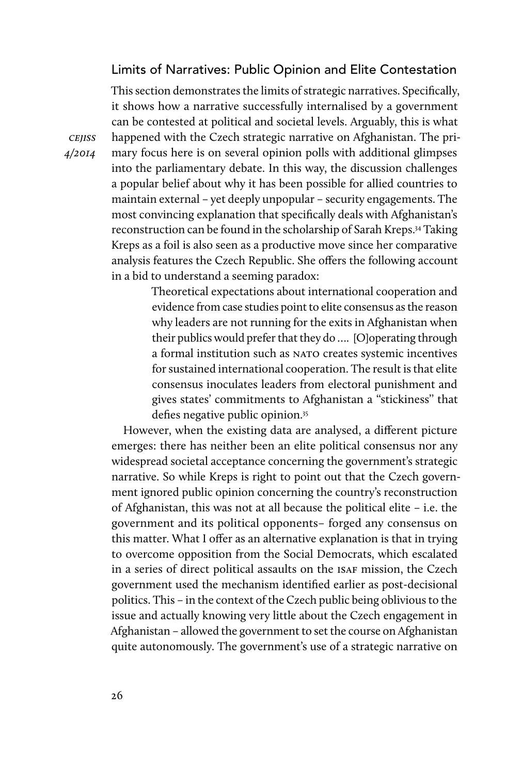### Limits of Narratives: Public Opinion and Elite Contestation

This section demonstrates the limits of strategic narratives. Specifically, it shows how a narrative successfully internalised by a government can be contested at political and societal levels. Arguably, this is what happened with the Czech strategic narrative on Afghanistan. The primary focus here is on several opinion polls with additional glimpses into the parliamentary debate. In this way, the discussion challenges a popular belief about why it has been possible for allied countries to maintain external – yet deeply unpopular – security engagements. The most convincing explanation that specifically deals with Afghanistan's reconstruction can be found in the scholarship of Sarah Kreps.34 Taking Kreps as a foil is also seen as a productive move since her comparative analysis features the Czech Republic. She offers the following account in a bid to understand a seeming paradox:

> Theoretical expectations about international cooperation and evidence from case studies point to elite consensus as the reason why leaders are not running for the exits in Afghanistan when their publics would prefer that they do …. [O]operating through a formal institution such as NATO creates systemic incentives for sustained international cooperation. The result is that elite consensus inoculates leaders from electoral punishment and gives states' commitments to Afghanistan a ''stickiness'' that defies negative public opinion.<sup>35</sup>

However, when the existing data are analysed, a different picture emerges: there has neither been an elite political consensus nor any widespread societal acceptance concerning the government's strategic narrative. So while Kreps is right to point out that the Czech government ignored public opinion concerning the country's reconstruction of Afghanistan, this was not at all because the political elite – i.e. the government and its political opponents– forged any consensus on this matter. What I offer as an alternative explanation is that in trying to overcome opposition from the Social Democrats, which escalated in a series of direct political assaults on the ISAF mission, the Czech government used the mechanism identified earlier as post-decisional politics. This – in the context of the Czech public being oblivious to the issue and actually knowing very little about the Czech engagement in Afghanistan – allowed the government to set the course on Afghanistan quite autonomously. The government's use of a strategic narrative on

**CEJISS** 4/2014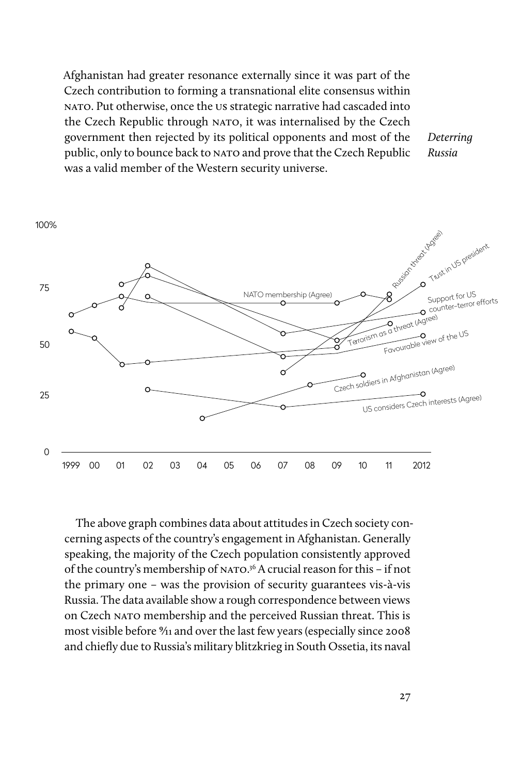Afghanistan had greater resonance externally since it was part of the Czech contribution to forming a transnational elite consensus within nato. Put otherwise, once the us strategic narrative had cascaded into the Czech Republic through NATO, it was internalised by the Czech government then rejected by its political opponents and most of the public, only to bounce back to NATO and prove that the Czech Republic was a valid member of the Western security universe.

Deterring Russia



The above graph combines data about attitudes in Czech society concerning aspects of the country's engagement in Afghanistan. Generally speaking, the majority of the Czech population consistently approved of the country's membership of NATO.<sup>36</sup> A crucial reason for this - if not the primary one – was the provision of security guarantees vis-à-vis Russia. The data available show a rough correspondence between views on Czech NATO membership and the perceived Russian threat. This is most visible before 9⁄11 and over the last few years (especially since 2008 and chiefly due to Russia's military blitzkrieg in South Ossetia, its naval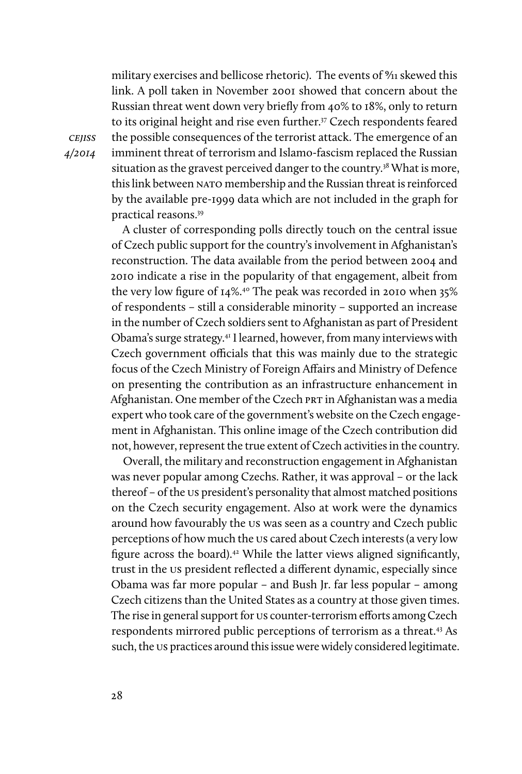military exercises and bellicose rhetoric). The events of  $\frac{9}{11}$  skewed this link. A poll taken in November 2001 showed that concern about the Russian threat went down very briefly from 40% to 18%, only to return to its original height and rise even further.<sup>37</sup> Czech respondents feared the possible consequences of the terrorist attack. The emergence of an imminent threat of terrorism and Islamo-fascism replaced the Russian situation as the gravest perceived danger to the country.<sup>38</sup> What is more, this link between NATO membership and the Russian threat is reinforced by the available pre-1999 data which are not included in the graph for practical reasons.39

A cluster of corresponding polls directly touch on the central issue of Czech public support for the country's involvement in Afghanistan's reconstruction. The data available from the period between 2004 and 2010 indicate a rise in the popularity of that engagement, albeit from the very low figure of 14%.40 The peak was recorded in 2010 when 35% of respondents – still a considerable minority – supported an increase in the number of Czech soldiers sent to Afghanistan as part of President Obama's surge strategy.41 I learned, however, from many interviews with Czech government officials that this was mainly due to the strategic focus of the Czech Ministry of Foreign Affairs and Ministry of Defence on presenting the contribution as an infrastructure enhancement in Afghanistan. One member of the Czech PRT in Afghanistan was a media expert who took care of the government's website on the Czech engagement in Afghanistan. This online image of the Czech contribution did not, however, represent the true extent of Czech activities in the country.

Overall, the military and reconstruction engagement in Afghanistan was never popular among Czechs. Rather, it was approval – or the lack thereof – of the us president's personality that almost matched positions on the Czech security engagement. Also at work were the dynamics around how favourably the us was seen as a country and Czech public perceptions of how much the us cared about Czech interests (a very low figure across the board).<sup>42</sup> While the latter views aligned significantly, trust in the us president reflected a different dynamic, especially since Obama was far more popular – and Bush Jr. far less popular – among Czech citizens than the United States as a country at those given times. The rise in general support for us counter-terrorism efforts among Czech respondents mirrored public perceptions of terrorism as a threat.43 As such, the us practices around this issue were widely considered legitimate.

**CEJISS** 4/2014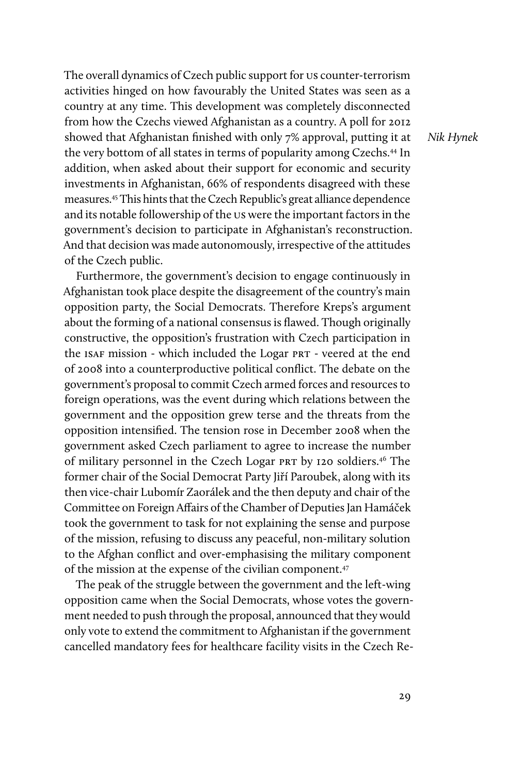The overall dynamics of Czech public support for us counter-terrorism activities hinged on how favourably the United States was seen as a country at any time. This development was completely disconnected from how the Czechs viewed Afghanistan as a country. A poll for 2012 showed that Afghanistan finished with only 7% approval, putting it at the very bottom of all states in terms of popularity among Czechs.<sup>44</sup> In addition, when asked about their support for economic and security investments in Afghanistan, 66% of respondents disagreed with these measures.45 This hints that the Czech Republic's great alliance dependence and its notable followership of the us were the important factors in the government's decision to participate in Afghanistan's reconstruction. And that decision was made autonomously, irrespective of the attitudes of the Czech public.

Furthermore, the government's decision to engage continuously in Afghanistan took place despite the disagreement of the country's main opposition party, the Social Democrats. Therefore Kreps's argument about the forming of a national consensus is flawed. Though originally constructive, the opposition's frustration with Czech participation in the ISAF mission - which included the Logar PRT - veered at the end of 2008 into a counterproductive political conflict. The debate on the government's proposal to commit Czech armed forces and resources to foreign operations, was the event during which relations between the government and the opposition grew terse and the threats from the opposition intensified. The tension rose in December 2008 when the government asked Czech parliament to agree to increase the number of military personnel in the Czech Logar prt by 120 soldiers.46 The former chair of the Social Democrat Party Jiří Paroubek, along with its then vice-chair Lubomír Zaorálek and the then deputy and chair of the Committee on Foreign Affairs of the Chamber of Deputies Jan Hamáček took the government to task for not explaining the sense and purpose of the mission, refusing to discuss any peaceful, non-military solution to the Afghan conflict and over-emphasising the military component of the mission at the expense of the civilian component.47

The peak of the struggle between the government and the left-wing opposition came when the Social Democrats, whose votes the government needed to push through the proposal, announced that they would only vote to extend the commitment to Afghanistan if the government cancelled mandatory fees for healthcare facility visits in the Czech ReNik Hynek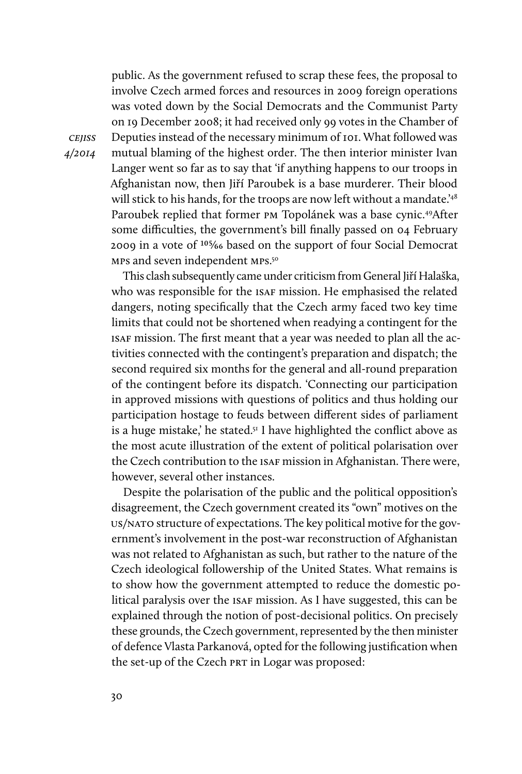public. As the government refused to scrap these fees, the proposal to involve Czech armed forces and resources in 2009 foreign operations was voted down by the Social Democrats and the Communist Party on 19 December 2008; it had received only 99 votes in the Chamber of Deputies instead of the necessary minimum of 101. What followed was mutual blaming of the highest order. The then interior minister Ivan Langer went so far as to say that 'if anything happens to our troops in Afghanistan now, then Jiří Paroubek is a base murderer. Their blood will stick to his hands, for the troops are now left without a mandate.<sup>'48</sup> Paroubek replied that former pm Topolánek was a base cynic.49After some difficulties, the government's bill finally passed on 04 February 2009 in a vote of 105⁄66 based on the support of four Social Democrat mps and seven independent mps.50

This clash subsequently came under criticism from General Jiří Halaška, who was responsible for the ISAF mission. He emphasised the related dangers, noting specifically that the Czech army faced two key time limits that could not be shortened when readying a contingent for the isaf mission. The first meant that a year was needed to plan all the activities connected with the contingent's preparation and dispatch; the second required six months for the general and all-round preparation of the contingent before its dispatch. 'Connecting our participation in approved missions with questions of politics and thus holding our participation hostage to feuds between different sides of parliament is a huge mistake,' he stated.<sup>51</sup> I have highlighted the conflict above as the most acute illustration of the extent of political polarisation over the Czech contribution to the isaf mission in Afghanistan. There were, however, several other instances.

Despite the polarisation of the public and the political opposition's disagreement, the Czech government created its "own" motives on the us/nato structure of expectations. The key political motive for the government's involvement in the post-war reconstruction of Afghanistan was not related to Afghanistan as such, but rather to the nature of the Czech ideological followership of the United States. What remains is to show how the government attempted to reduce the domestic political paralysis over the isaf mission. As I have suggested, this can be explained through the notion of post-decisional politics. On precisely these grounds, the Czech government, represented by the then minister of defence Vlasta Parkanová, opted for the following justification when the set-up of the Czech PRT in Logar was proposed:

cejiss 4/2014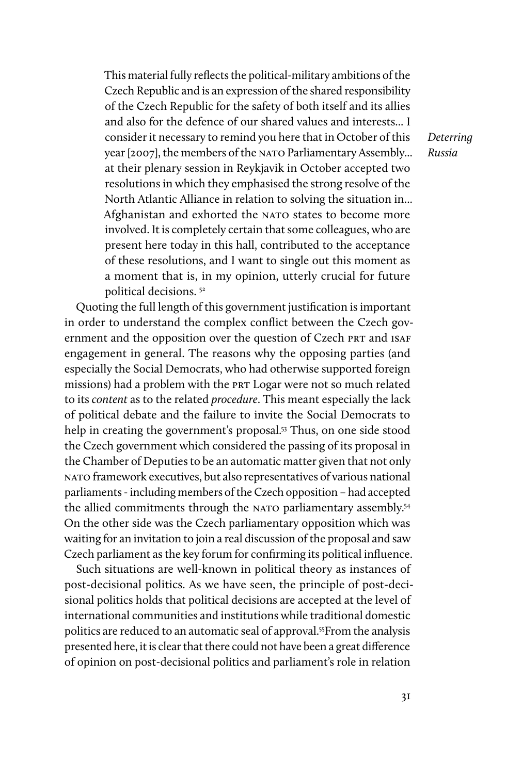This material fully reflects the political-military ambitions of the Czech Republic and is an expression of the shared responsibility of the Czech Republic for the safety of both itself and its allies and also for the defence of our shared values and interests... I consider it necessary to remind you here that in October of this year [2007], the members of the NATO Parliamentary Assembly... at their plenary session in Reykjavik in October accepted two resolutions in which they emphasised the strong resolve of the North Atlantic Alliance in relation to solving the situation in... Afghanistan and exhorted the NATO states to become more involved. It is completely certain that some colleagues, who are present here today in this hall, contributed to the acceptance of these resolutions, and I want to single out this moment as a moment that is, in my opinion, utterly crucial for future political decisions. 52

Quoting the full length of this government justification is important in order to understand the complex conflict between the Czech government and the opposition over the question of Czech PRT and ISAF engagement in general. The reasons why the opposing parties (and especially the Social Democrats, who had otherwise supported foreign missions) had a problem with the PRT Logar were not so much related to its content as to the related procedure. This meant especially the lack of political debate and the failure to invite the Social Democrats to help in creating the government's proposal.<sup>53</sup> Thus, on one side stood the Czech government which considered the passing of its proposal in the Chamber of Deputies to be an automatic matter given that not only nato framework executives, but also representatives of various national parliaments - including members of the Czech opposition – had accepted the allied commitments through the NATO parliamentary assembly.<sup>54</sup> On the other side was the Czech parliamentary opposition which was waiting for an invitation to join a real discussion of the proposal and saw Czech parliament as the key forum for confirming its political influence.

Such situations are well-known in political theory as instances of post-decisional politics. As we have seen, the principle of post-decisional politics holds that political decisions are accepted at the level of international communities and institutions while traditional domestic politics are reduced to an automatic seal of approval.55From the analysis presented here, it is clear that there could not have been a great difference of opinion on post-decisional politics and parliament's role in relation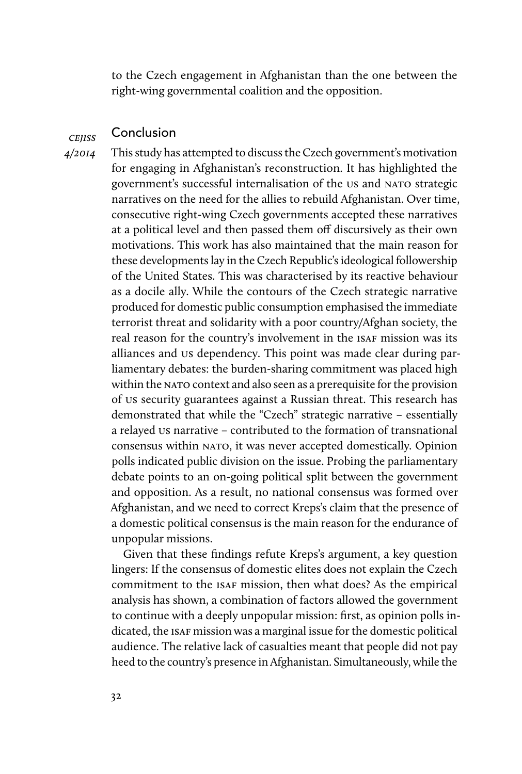to the Czech engagement in Afghanistan than the one between the right-wing governmental coalition and the opposition.

#### **CEIISS** Conclusion

4/2014

This study has attempted to discuss the Czech government's motivation for engaging in Afghanistan's reconstruction. It has highlighted the government's successful internalisation of the us and NATO strategic narratives on the need for the allies to rebuild Afghanistan. Over time, consecutive right-wing Czech governments accepted these narratives at a political level and then passed them off discursively as their own motivations. This work has also maintained that the main reason for these developments lay in the Czech Republic's ideological followership of the United States. This was characterised by its reactive behaviour as a docile ally. While the contours of the Czech strategic narrative produced for domestic public consumption emphasised the immediate terrorist threat and solidarity with a poor country/Afghan society, the real reason for the country's involvement in the ISAF mission was its alliances and us dependency. This point was made clear during parliamentary debates: the burden-sharing commitment was placed high within the NATO context and also seen as a prerequisite for the provision of us security guarantees against a Russian threat. This research has demonstrated that while the "Czech" strategic narrative – essentially a relayed us narrative – contributed to the formation of transnational consensus within nato, it was never accepted domestically. Opinion polls indicated public division on the issue. Probing the parliamentary debate points to an on-going political split between the government and opposition. As a result, no national consensus was formed over Afghanistan, and we need to correct Kreps's claim that the presence of a domestic political consensus is the main reason for the endurance of unpopular missions.

Given that these findings refute Kreps's argument, a key question lingers: If the consensus of domestic elites does not explain the Czech commitment to the isaf mission, then what does? As the empirical analysis has shown, a combination of factors allowed the government to continue with a deeply unpopular mission: first, as opinion polls indicated, the ISAF mission was a marginal issue for the domestic political audience. The relative lack of casualties meant that people did not pay heed to the country's presence in Afghanistan. Simultaneously, while the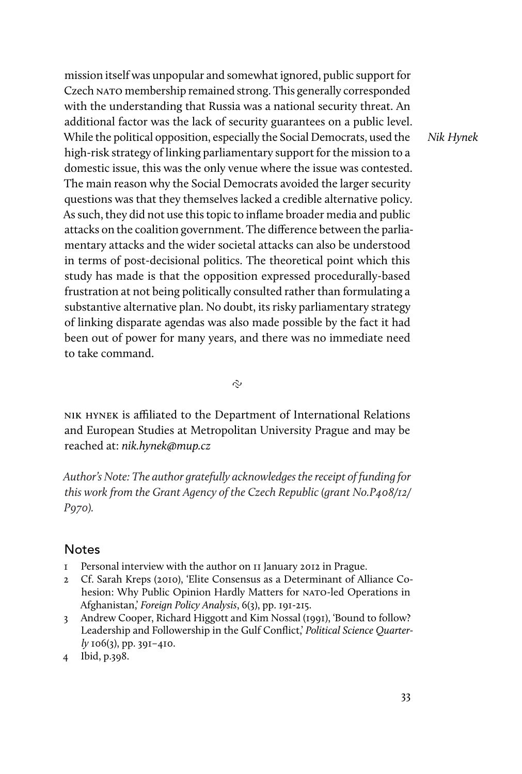mission itself was unpopular and somewhat ignored, public support for Czech NATO membership remained strong. This generally corresponded with the understanding that Russia was a national security threat. An additional factor was the lack of security guarantees on a public level. While the political opposition, especially the Social Democrats, used the high-risk strategy of linking parliamentary support for the mission to a domestic issue, this was the only venue where the issue was contested. The main reason why the Social Democrats avoided the larger security questions was that they themselves lacked a credible alternative policy. As such, they did not use this topic to inflame broader media and public attacks on the coalition government. The difference between the parliamentary attacks and the wider societal attacks can also be understood in terms of post-decisional politics. The theoretical point which this study has made is that the opposition expressed procedurally-based frustration at not being politically consulted rather than formulating a substantive alternative plan. No doubt, its risky parliamentary strategy of linking disparate agendas was also made possible by the fact it had been out of power for many years, and there was no immediate need to take command.

Nik Hynek

 $\sim$ 

nik hynek is afliated to the Department of International Relations and European Studies at Metropolitan University Prague and may be reached at: nik.hynek@mup.cz

Author's Note: The author gratefully acknowledges the receipt of funding for this work from the Grant Agency of the Czech Republic (grant No.P408/12/ P970).

#### Notes

- 1 Personal interview with the author on 11 January 2012 in Prague.
- 2 Cf. Sarah Kreps (2010), 'Elite Consensus as a Determinant of Alliance Cohesion: Why Public Opinion Hardly Matters for NATO-led Operations in Afghanistan,' Foreign Policy Analysis, 6(3), pp. 191-215.
- 3 Andrew Cooper, Richard Higgott and Kim Nossal (1991), 'Bound to follow? Leadership and Followership in the Gulf Conflict,' Political Science Quarterly 106(3), pp. 391–410.
- 4 Ibid, p.398.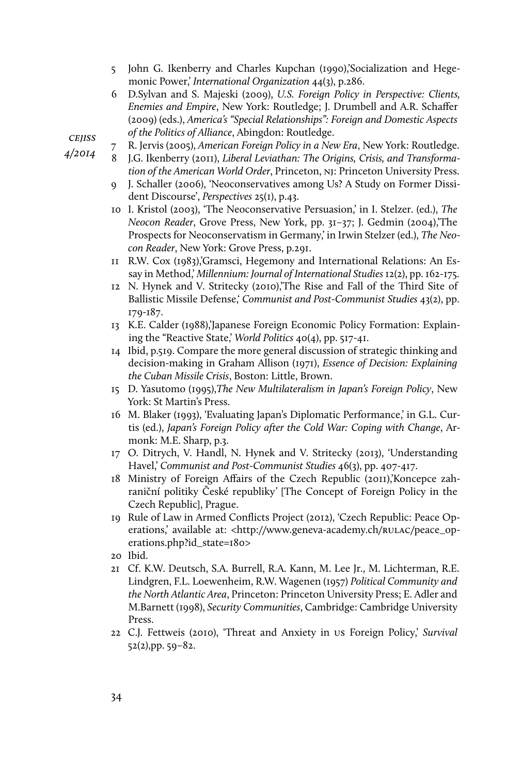- 5 John G. Ikenberry and Charles Kupchan (1990),'Socialization and Hegemonic Power,' International Organization 44(3), p.286.
- 6 D.Sylvan and S. Majeski (2009), U.S. Foreign Policy in Perspective: Clients, Enemies and Empire, New York: Routledge; J. Drumbell and A.R. Schaffer (2009) (eds.), America's "Special Relationships": Foreign and Domestic Aspects of the Politics of Alliance, Abingdon: Routledge.
- 7 R. Jervis (2005), American Foreign Policy in a New Era, New York: Routledge.
	- 8 J.G. Ikenberry (2011), Liberal Leviathan: The Origins, Crisis, and Transformation of the American World Order, Princeton, nj: Princeton University Press.
	- 9 J. Schaller (2006), 'Neoconservatives among Us? A Study on Former Dissident Discourse', Perspectives 25(1), p.43.
	- 10 I. Kristol (2003), 'The Neoconservative Persuasion,' in I. Stelzer. (ed.), The Neocon Reader, Grove Press, New York, pp. 31–37; J. Gedmin (2004),'The Prospects for Neoconservatism in Germany,' in Irwin Stelzer (ed.), The Neocon Reader, New York: Grove Press, p.291.
	- 11 R.W. Cox (1983),'Gramsci, Hegemony and International Relations: An Essay in Method,' Millennium: Journal of International Studies 12(2), pp. 162-175.
	- 12 N. Hynek and V. Stritecky (2010),'The Rise and Fall of the Third Site of Ballistic Missile Defense, Communist and Post-Communist Studies 43(2), pp. 179-187.
	- 13 K.E. Calder (1988),'Japanese Foreign Economic Policy Formation: Explaining the "Reactive State,' World Politics 40(4), pp. 517-41.
	- 14 Ibid, p.519. Compare the more general discussion of strategic thinking and decision-making in Graham Allison (1971), Essence of Decision: Explaining the Cuban Missile Crisis, Boston: Little, Brown.
	- 15 D. Yasutomo (1995),The New Multilateralism in Japan's Foreign Policy, New York: St Martin's Press.
	- 16 M. Blaker (1993), 'Evaluating Japan's Diplomatic Performance,' in G.L. Curtis (ed.), Japan's Foreign Policy after the Cold War: Coping with Change, Armonk: M.E. Sharp, p.3.
	- 17 O. Ditrych, V. Handl, N. Hynek and V. Stritecky (2013), 'Understanding Havel,' Communist and Post-Communist Studies 46(3), pp. 407-417.
	- 18 Ministry of Foreign Affairs of the Czech Republic (2011),'Koncepce zahraniční politiky České republiky' [The Concept of Foreign Policy in the Czech Republic], Prague.
	- 19 Rule of Law in Armed Conflicts Project (2012), 'Czech Republic: Peace Operations,' available at: <http://www.geneva-academy.ch/RULAC/peace\_operations.php?id\_state=180>
	- 20 Ibid.
	- 21 Cf. K.W. Deutsch, S.A. Burrell, R.A. Kann, M. Lee Jr., M. Lichterman, R.E. Lindgren, F.L. Loewenheim, R.W. Wagenen (1957) Political Community and the North Atlantic Area, Princeton: Princeton University Press; E. Adler and M.Barnett (1998), Security Communities, Cambridge: Cambridge University Press.
	- 22 C.J. Fettweis (2010), 'Threat and Anxiety in us Foreign Policy,' Survival 52(2),pp. 59–82.

**CEJISS** 

4/2014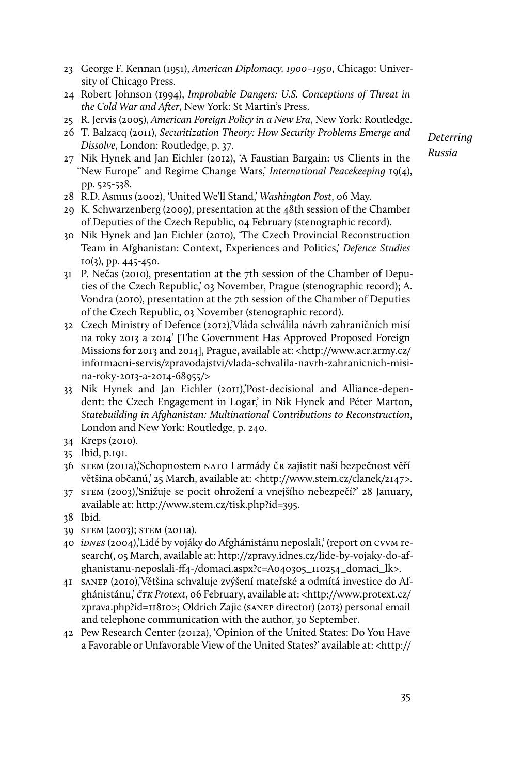- 23 George F. Kennan (1951), American Diplomacy, 1900–1950, Chicago: University of Chicago Press.
- 24 Robert Johnson (1994), Improbable Dangers: U.S. Conceptions of Threat in the Cold War and After, New York: St Martin's Press.
- 25 R. Jervis (2005), American Foreign Policy in a New Era, New York: Routledge.
- 26 T. Balzacq (2011), Securitization Theory: How Security Problems Emerge and Dissolve, London: Routledge, p. 37.
- 27 Nik Hynek and Jan Eichler (2012), 'A Faustian Bargain: us Clients in the "New Europe" and Regime Change Wars,' International Peacekeeping 19(4), pp. 525-538.
- 28 R.D. Asmus (2002), 'United We'll Stand,' Washington Post, 06 May.
- 29 K. Schwarzenberg (2009), presentation at the 48th session of the Chamber of Deputies of the Czech Republic, 04 February (stenographic record).
- 30 Nik Hynek and Jan Eichler (2010), 'The Czech Provincial Reconstruction Team in Afghanistan: Context, Experiences and Politics,' Defence Studies 10(3), pp. 445-450.
- 31 P. Nečas (2010), presentation at the 7th session of the Chamber of Deputies of the Czech Republic,' 03 November, Prague (stenographic record); A. Vondra (2010), presentation at the 7th session of the Chamber of Deputies of the Czech Republic, 03 November (stenographic record).
- 32 Czech Ministry of Defence (2012),'Vláda schválila návrh zahraničních misí na roky 2013 a 2014' [The Government Has Approved Proposed Foreign Missions for 2013 and 2014], Prague, available at: <http://www.acr.army.cz/ informacni-servis/zpravodajstvi/vlada-schvalila-navrh-zahranicnich-misina-roky-2013-a-2014-68955/>
- 33 Nik Hynek and Jan Eichler (2011),'Post-decisional and Alliance-dependent: the Czech Engagement in Logar,' in Nik Hynek and Péter Marton, Statebuilding in Afghanistan: Multinational Contributions to Reconstruction, London and New York: Routledge, p. 240.
- 34 Kreps (2010).
- 35 Ibid, p.191.
- 36 stem (2011a),'Schopnostem nato I armády čr zajistit naši bezpečnost věří většina občanú,' 25 March, available at: <http://www.stem.cz/clanek/2147>.
- 37 stem (2003),'Snižuje se pocit ohrožení a vnejšího nebezpečí?' 28 January, available at: http://www.stem.cz/tisk.php?id=395.
- 38 Ibid.
- 39 stem (2003); stem (2011a).
- 40 idnes (2004),'Lidé by vojáky do Afghánistánu neposlali,' (report on cvvm research(, 05 March, available at: http://zpravy.idnes.cz/lide-by-vojaky-do-afghanistanu-neposlali-ff4-/domaci.aspx?c=A040305\_110254\_domaci\_lk>.
- 41 sanep (2010),'Většina schvaluje zvýšení mateřské a odmítá investice do Afghánistánu,' črk Protext, 06 February, available at: <http://www.protext.cz/ zprava.php?id=11810>; Oldrich Zajic (sanep director) (2013) personal email and telephone communication with the author, 30 September.
- 42 Pew Research Center (2012a), 'Opinion of the United States: Do You Have a Favorable or Unfavorable View of the United States?' available at: <http://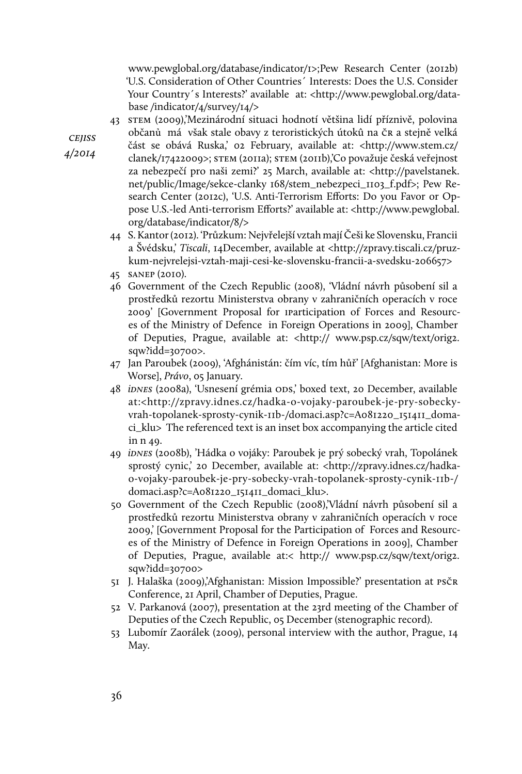www.pewglobal.org/database/indicator/1>;Pew Research Center (2012b) 'U.S. Consideration of Other Countries´ Interests: Does the U.S. Consider Your Country's Interests?' available at: <http://www.pewglobal.org/database /indicator/4/survey/14/>

43 stem (2009),'Mezinárodní situaci hodnotí většina lidí příznivě, polovina občanủ má však stale obavy z teroristických útokû na čr a stejně velká

**CEJISS** 4/2014

- část se obává Ruska,' 02 February, available at: <http://www.stem.cz/ clanek/17422009>; stem (2011a); stem (2011b),'Co považuje česká veřejnost za nebezpečí pro naši zemi?' 25 March, available at: <http://pavelstanek. net/public/Image/sekce-clanky 168/stem\_nebezpeci\_1103\_f.pdf>; Pew Research Center (2012c), 'U.S. Anti-Terrorism Efforts: Do you Favor or Oppose U.S.-led Anti-terrorism Efforts?' available at: <http://www.pewglobal. org/database/indicator/8/>
- 44 S. Kantor (2012). 'Průzkum: Nejvřelejší vztah mají Češi ke Slovensku, Francii a Švédsku,' Tiscali, 14December, available at <http://zpravy.tiscali.cz/pruzkum-nejvrelejsi-vztah-maji-cesi-ke-slovensku-francii-a-svedsku-206657>
- 45 sanep (2010).
- 46 Government of the Czech Republic (2008), 'Vládní návrh působení sil a prostředků rezortu Ministerstva obrany v zahraničních operacích v roce 2009' [Government Proposal for iparticipation of Forces and Resources of the Ministry of Defence in Foreign Operations in 2009], Chamber of Deputies, Prague, available at: <http:// www.psp.cz/sqw/text/orig2. sqw?idd=30700>.
- 47 Jan Paroubek (2009), 'Afghánistán: čím víc, tím hůř' [Afghanistan: More is Worse], Právo, 05 January.
- 48 iDNES (2008a), 'Usnesení grémia ODS,' boxed text, 20 December, available at:<http://zpravy.idnes.cz/hadka-o-vojaky-paroubek-je-pry-sobeckyvrah-topolanek-sprosty-cynik-11b-/domaci.asp?c=A081220\_151411\_domaci\_klu> The referenced text is an inset box accompanying the article cited in n 49.
- 49 idnes (2008b), 'Hádka o vojáky: Paroubek je prý sobecký vrah, Topolánek sprostý cynic,' 20 December, available at: <http://zpravy.idnes.cz/hadkao-vojaky-paroubek-je-pry-sobecky-vrah-topolanek-sprosty-cynik-11b-/ domaci.asp?c=A081220\_151411\_domaci\_klu>.
- 50 Government of the Czech Republic (2008),'Vládní návrh působení sil a prostředků rezortu Ministerstva obrany v zahraničních operacích v roce 2009,' [Government Proposal for the Participation of Forces and Resources of the Ministry of Defence in Foreign Operations in 2009], Chamber of Deputies, Prague, available at:< http:// www.psp.cz/sqw/text/orig2. sqw?idd=30700>
- 51 J. Halaška (2009),'Afghanistan: Mission Impossible?' presentation at psčr Conference, 21 April, Chamber of Deputies, Prague.
- 52 V. Parkanová (2007), presentation at the 23rd meeting of the Chamber of Deputies of the Czech Republic, 05 December (stenographic record).
- 53 Lubomír Zaorálek (2009), personal interview with the author, Prague, 14 May.